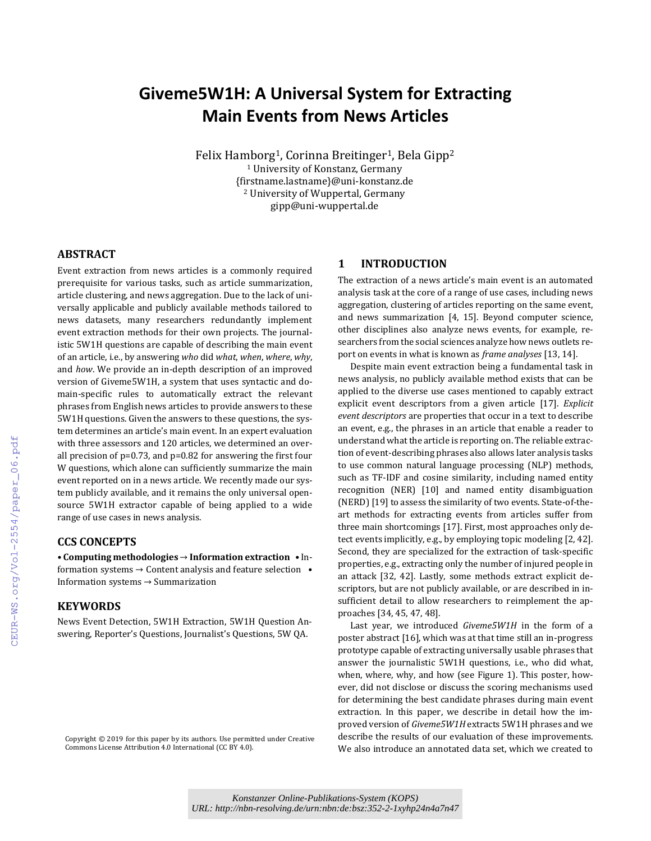# **Giveme5W1H: A Universal System for Extracting Main Events from News Articles**

Felix Hamborg1, Corinna Breitinger1, Bela Gipp<sup>2</sup> <sup>1</sup> University of Konstanz, Germany {firstname.lastname}@uni-konstanz.de <sup>2</sup> University of Wuppertal, Germany gipp@uni-wuppertal.de

# **ABSTRACT**

Event extraction from news articles is a commonly required prerequisite for various tasks, such as article summarization, article clustering, and news aggregation. Due to the lack of universally applicable and publicly available methods tailored to news datasets, many researchers redundantly implement event extraction methods for their own projects. The journalistic 5W1H questions are capable of describing the main event of an article, i.e., by answering *who* did *what*, *when*, *where*, *why*, and *how*. We provide an in-depth description of an improved version of Giveme5W1H, a system that uses syntactic and domain-specific rules to automatically extract the relevant phrases from English news articles to provide answers to these 5W1H questions. Given the answers to these questions, the system determines an article's main event. In an expert evaluation with three assessors and 120 articles, we determined an overall precision of p=0.73, and p=0.82 for answering the first four W questions, which alone can sufficiently summarize the main event reported on in a news article. We recently made our system publicly available, and it remains the only universal opensource 5W1H extractor capable of being applied to a wide range of use cases in news analysis.

# **CCS CONCEPTS**

**• Computing methodologies** → **Information extraction** • Information systems  $\rightarrow$  Content analysis and feature selection  $\bullet$ Information systems → Summarization

# **KEYWORDS**

News Event Detection, 5W1H Extraction, 5W1H Question Answering, Reporter's Questions, Journalist's Questions, 5W QA.

#### Copyright © 2019 for this paper by its authors. Use permitted under Creative Commons License Attribution 4.0 International (CC BY 4.0).

# **1 INTRODUCTION**

The extraction of a news article's main event is an automated analysis task at the core of a range of use cases, including news aggregation, clustering of articles reporting on the same event, and news summarization [4, 15]. Beyond computer science, other disciplines also analyze news events, for example, researchers from the social sciences analyze how news outlets report on events in what is known as *frame analyses* [13, 14].

Despite main event extraction being a fundamental task in news analysis, no publicly available method exists that can be applied to the diverse use cases mentioned to capably extract explicit event descriptors from a given article [17]. *Explicit event descriptors* are properties that occur in a text to describe an event, e.g., the phrases in an article that enable a reader to understand what the article is reporting on. The reliable extraction of event-describing phrases also allows later analysis tasks to use common natural language processing (NLP) methods, such as TF-IDF and cosine similarity, including named entity recognition (NER) [10] and named entity disambiguation (NERD) [19] to assess the similarity of two events. State-of-theart methods for extracting events from articles suffer from three main shortcomings [17]. First, most approaches only detect events implicitly, e.g., by employing topic modeling [2, 42]. Second, they are specialized for the extraction of task-specific properties, e.g., extracting only the number of injured people in an attack [32, 42]. Lastly, some methods extract explicit descriptors, but are not publicly available, or are described in insufficient detail to allow researchers to reimplement the approaches [34, 45, 47, 48].

Last year, we introduced *Giveme5W1H* in the form of a poster abstract [16], which was at that time still an in-progress prototype capable of extracting universally usable phrases that answer the journalistic 5W1H questions, i.e., who did what, when, where, why, and how (see Figure 1). This poster, however, did not disclose or discuss the scoring mechanisms used for determining the best candidate phrases during main event extraction. In this paper, we describe in detail how the improved version of *Giveme5W1H* extracts 5W1H phrases and we describe the results of our evaluation of these improvements. We also introduce an annotated data set, which we created to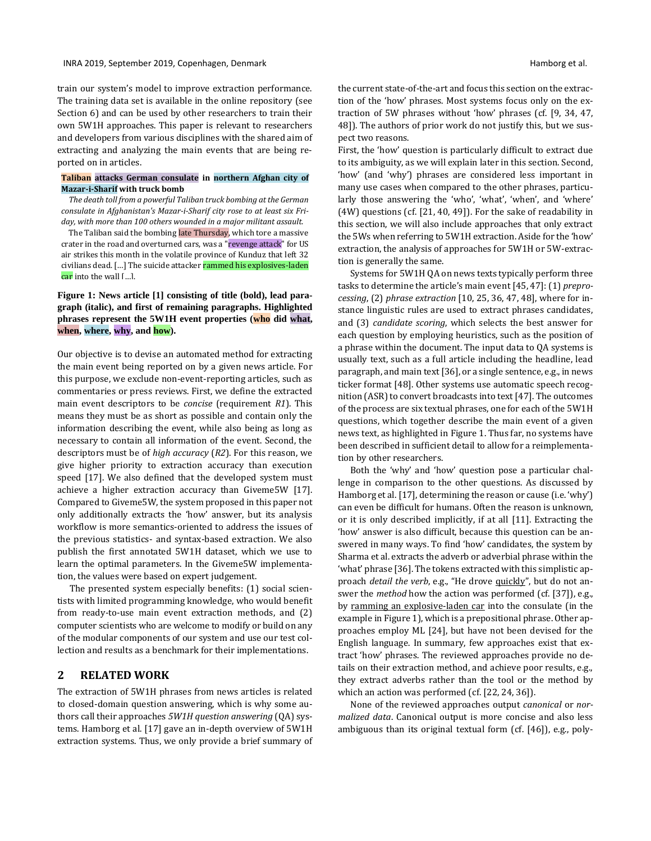train our system's model to improve extraction performance. The training data set is available in the online repository (see Section [6\)](#page-7-0) and can be used by other researchers to train their own 5W1H approaches. This paper is relevant to researchers and developers from various disciplines with the shared aim of extracting and analyzing the main events that are being reported on in articles.

#### **Taliban attacks German consulate in northern Afghan city of Mazar-i-Sharif with truck bomb**

*The death toll from a powerful Taliban truck bombing at the German consulate in Afghanistan's Mazar-i-Sharif city rose to at least six Friday, with more than 100 others wounded in a major militant assault.*

The Taliban said the bombing late Thursday, which tore a massive crater in the road and overturned cars, was a "revenge attack" for US air strikes this month in the volatile province of Kunduz that left 32 civilians dead. [...] The suicide attacker rammed his explosives-laden car into the wall […].

# <span id="page-1-0"></span>**Figure 1: News article [1] consisting of title (bold), lead paragraph (italic), and first of remaining paragraphs. Highlighted phrases represent the 5W1H event properties (who did what, when, where, why, and how).**

Our objective is to devise an automated method for extracting the main event being reported on by a given news article. For this purpose, we exclude non-event-reporting articles, such as commentaries or press reviews. First, we define the extracted main event descriptors to be *concise* (requirement *R1*). This means they must be as short as possible and contain only the information describing the event, while also being as long as necessary to contain all information of the event. Second, the descriptors must be of *high accuracy* (*R2*). For this reason, we give higher priority to extraction accuracy than execution speed [17]. We also defined that the developed system must achieve a higher extraction accuracy than Giveme5W [17]. Compared to Giveme5W, the system proposed in this paper not only additionally extracts the 'how' answer, but its analysis workflow is more semantics-oriented to address the issues of the previous statistics- and syntax-based extraction. We also publish the first annotated 5W1H dataset, which we use to learn the optimal parameters. In the Giveme5W implementation, the values were based on expert judgement.

The presented system especially benefits: (1) social scientists with limited programming knowledge, who would benefit from ready-to-use main event extraction methods, and (2) computer scientists who are welcome to modify or build on any of the modular components of our system and use our test collection and results as a benchmark for their implementations.

# <span id="page-1-1"></span>**2 RELATED WORK**

The extraction of 5W1H phrases from news articles is related to closed-domain question answering, which is why some authors call their approaches *5W1H question answering* (QA) systems. Hamborg et al. [17] gave an in-depth overview of 5W1H extraction systems. Thus, we only provide a brief summary of the current state-of-the-art and focus this section on the extraction of the 'how' phrases. Most systems focus only on the extraction of 5W phrases without 'how' phrases (cf. [9, 34, 47, 48]). The authors of prior work do not justify this, but we suspect two reasons.

First, the 'how' question is particularly difficult to extract due to its ambiguity, as we will explain later in this section. Second, 'how' (and 'why') phrases are considered less important in many use cases when compared to the other phrases, particularly those answering the 'who', 'what', 'when', and 'where' (4W) questions (cf. [21, 40, 49]). For the sake of readability in this section, we will also include approaches that only extract the 5Ws when referring to 5W1H extraction. Aside for the 'how' extraction, the analysis of approaches for 5W1H or 5W-extraction is generally the same.

Systems for 5W1H QA on news texts typically perform three tasks to determine the article's main event [45, 47]: (1) *preprocessing*, (2) *phrase extraction* [10, 25, 36, 47, 48], where for instance linguistic rules are used to extract phrases candidates, and (3) *candidate scoring*, which selects the best answer for each question by employing heuristics, such as the position of a phrase within the document. The input data to QA systems is usually text, such as a full article including the headline, lead paragraph, and main text [36], or a single sentence, e.g., in news ticker format [48]. Other systems use automatic speech recognition (ASR) to convert broadcasts into text [47]. The outcomes of the process are six textual phrases, one for each of the 5W1H questions, which together describe the main event of a given news text, as highlighted in [Figure](#page-1-0) 1. Thus far, no systems have been described in sufficient detail to allow for a reimplementation by other researchers.

Both the 'why' and 'how' question pose a particular challenge in comparison to the other questions. As discussed by Hamborg et al. [17], determining the reason or cause (i.e. 'why') can even be difficult for humans. Often the reason is unknown, or it is only described implicitly, if at all [11]. Extracting the 'how' answer is also difficult, because this question can be answered in many ways. To find 'how' candidates, the system by Sharma et al. extracts the adverb or adverbial phrase within the 'what' phrase [36]. The tokens extracted with this simplistic approach *detail the verb*, e.g., "He drove quickly", but do not answer the *method* how the action was performed (cf. [37]), e.g., by ramming an explosive-laden car into the consulate (in the example in [Figure](#page-1-0) 1), which is a prepositional phrase. Other approaches employ ML [24], but have not been devised for the English language. In summary, few approaches exist that extract 'how' phrases. The reviewed approaches provide no details on their extraction method, and achieve poor results, e.g., they extract adverbs rather than the tool or the method by which an action was performed (cf. [22, 24, 36]).

None of the reviewed approaches output *canonical* or *normalized data*. Canonical output is more concise and also less ambiguous than its original textual form (cf. [46]), e.g., poly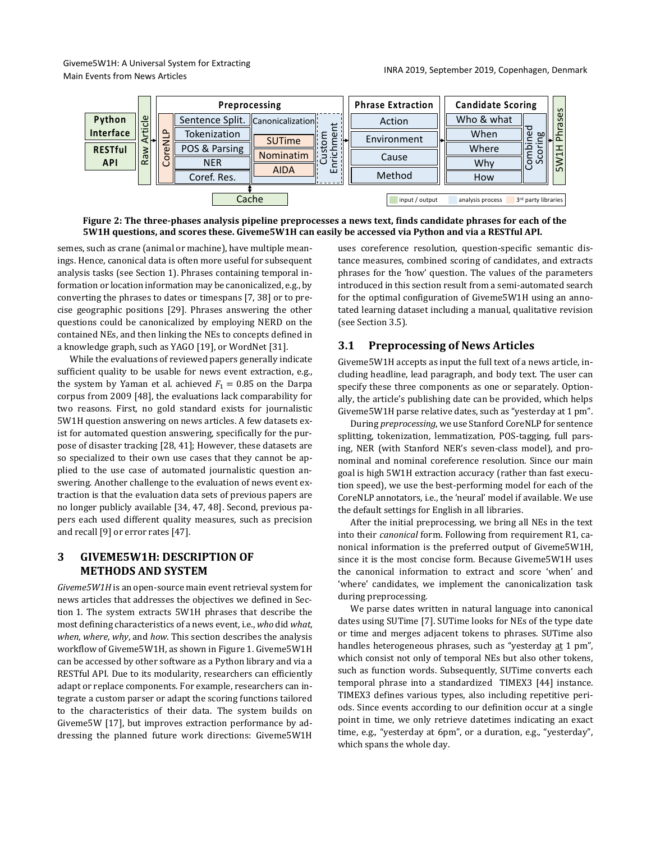Giveme5W1H: A Universal System for Extracting Main Events from News Articles International Extracting Income in the UNRA 2019, September 2019, Copenhagen, Denmark<br>Main Events from News Articles



**Figure 2: The three-phases analysis pipeline preprocesses a news text, finds candidate phrases for each of the 5W1H questions, and scores these. Giveme5W1H can easily be accessed via Python and via a RESTful API.**

semes, such as crane (animal or machine), have multiple meanings. Hence, canonical data is often more useful for subsequent analysis tasks (see Section 1). Phrases containing temporal information or location information may be canonicalized, e.g., by converting the phrases to dates or timespans [7, 38] or to precise geographic positions [29]. Phrases answering the other questions could be canonicalized by employing NERD on the contained NEs, and then linking the NEs to concepts defined in a knowledge graph, such as YAGO [19], or WordNet [31].

While the evaluations of reviewed papers generally indicate sufficient quality to be usable for news event extraction, e.g., the system by Yaman et al. achieved  $F_1 = 0.85$  on the Darpa corpus from 2009 [48], the evaluations lack comparability for two reasons. First, no gold standard exists for journalistic 5W1H question answering on news articles. A few datasets exist for automated question answering, specifically for the purpose of disaster tracking [28, 41]; However, these datasets are so specialized to their own use cases that they cannot be applied to the use case of automated journalistic question answering. Another challenge to the evaluation of news event extraction is that the evaluation data sets of previous papers are no longer publicly available [34, 47, 48]. Second, previous papers each used different quality measures, such as precision and recall [9] or error rates [47].

# <span id="page-2-1"></span>**3 GIVEME5W1H: DESCRIPTION OF METHODS AND SYSTEM**

*Giveme5W1H* is an open-source main event retrieval system for news articles that addresses the objectives we defined in Section 1. The system extracts 5W1H phrases that describe the most defining characteristics of a news event, i.e., *who* did *what*, *when*, *where*, *why*, and *how*. This section describes the analysis workflow of Giveme5W1H, as shown in [Figure](#page-1-0) 1. Giveme5W1H can be accessed by other software as a Python library and via a RESTful API. Due to its modularity, researchers can efficiently adapt or replace components. For example, researchers can integrate a custom parser or adapt the scoring functions tailored to the characteristics of their data. The system builds on Giveme5W [17], but improves extraction performance by addressing the planned future work directions: Giveme5W1H uses coreference resolution, question-specific semantic distance measures, combined scoring of candidates, and extracts phrases for the 'how' question. The values of the parameters introduced in this section result from a semi-automated search for the optimal configuration of Giveme5W1H using an annotated learning dataset including a manual, qualitative revision (see Section [3.5\)](#page-5-0).

# <span id="page-2-0"></span>**3.1 Preprocessing of News Articles**

Giveme5W1H accepts as input the full text of a news article, including headline, lead paragraph, and body text. The user can specify these three components as one or separately. Optionally, the article's publishing date can be provided, which helps Giveme5W1H parse relative dates, such as "yesterday at 1 pm".

During *preprocessing*, we use Stanford CoreNLP for sentence splitting, tokenization, lemmatization, POS-tagging, full parsing, NER (with Stanford NER's seven-class model), and pronominal and nominal coreference resolution. Since our main goal is high 5W1H extraction accuracy (rather than fast execution speed), we use the best-performing model for each of the CoreNLP annotators, i.e., the 'neural' model if available. We use the default settings for English in all libraries.

After the initial preprocessing, we bring all NEs in the text into their *canonical* form. Following from requirement R1, canonical information is the preferred output of Giveme5W1H, since it is the most concise form. Because Giveme5W1H uses the canonical information to extract and score 'when' and 'where' candidates, we implement the canonicalization task during preprocessing.

We parse dates written in natural language into canonical dates using SUTime [7]. SUTime looks for NEs of the type date or time and merges adjacent tokens to phrases. SUTime also handles heterogeneous phrases, such as "yesterday at 1 pm", which consist not only of temporal NEs but also other tokens, such as function words. Subsequently, SUTime converts each temporal phrase into a standardized TIMEX3 [44] instance. TIMEX3 defines various types, also including repetitive periods. Since events according to our definition occur at a single point in time, we only retrieve datetimes indicating an exact time, e.g., "yesterday at 6pm", or a duration, e.g., "yesterday", which spans the whole day.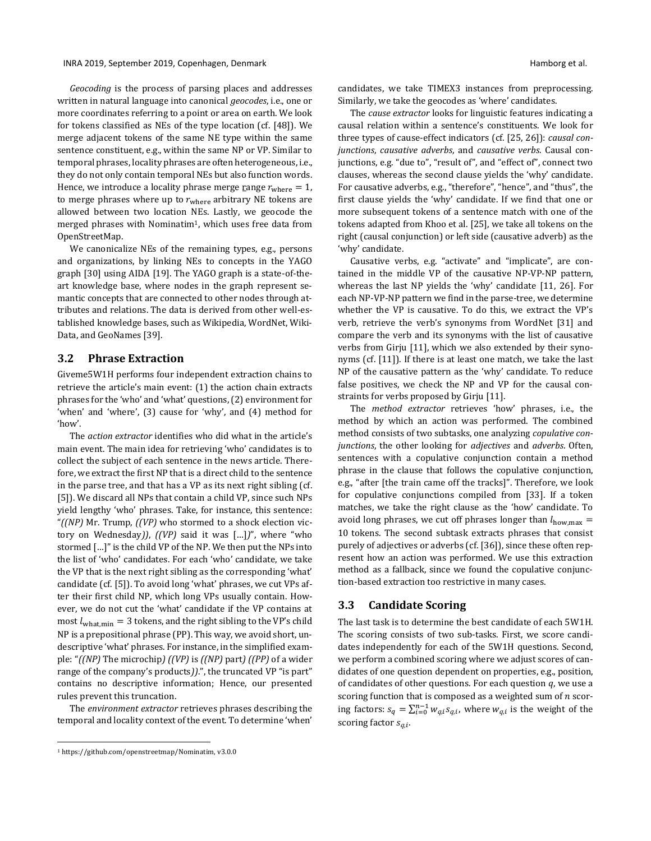*Geocoding* is the process of parsing places and addresses written in natural language into canonical *geocodes*, i.e., one or more coordinates referring to a point or area on earth. We look for tokens classified as NEs of the type location (cf. [48]). We merge adjacent tokens of the same NE type within the same sentence constituent, e.g., within the same NP or VP. Similar to temporal phrases, locality phrases are often heterogeneous, i.e., they do not only contain temporal NEs but also function words. Hence, we introduce a locality phrase merge range  $r_{\text{where}} = 1$ , to merge phrases where up to  $r_{where}$  arbitrary NE tokens are allowed between two location NEs. Lastly, we geocode the merged phrases with Nominatim1, which uses free data from OpenStreetMap.

We canonicalize NEs of the remaining types, e.g., persons and organizations, by linking NEs to concepts in the YAGO graph [30] using AIDA [19]. The YAGO graph is a state-of-theart knowledge base, where nodes in the graph represent semantic concepts that are connected to other nodes through attributes and relations. The data is derived from other well-established knowledge bases, such as Wikipedia, WordNet, Wiki-Data, and GeoNames [39].

### <span id="page-3-0"></span>**3.2 Phrase Extraction**

Giveme5W1H performs four independent extraction chains to retrieve the article's main event: (1) the action chain extracts phrases for the 'who' and 'what' questions, (2) environment for 'when' and 'where', (3) cause for 'why', and (4) method for 'how'.

The *action extractor* identifies who did what in the article's main event. The main idea for retrieving 'who' candidates is to collect the subject of each sentence in the news article. Therefore, we extract the first NP that is a direct child to the sentence in the parse tree, and that has a VP as its next right sibling (cf. [5]). We discard all NPs that contain a child VP, since such NPs yield lengthy 'who' phrases. Take, for instance, this sentence: "*((NP)* Mr. Trump, *((VP)* who stormed to a shock election victory on Wednesday*))*, *((VP)* said it was […]*)*", where "who stormed […]" is the child VP of the NP. We then put the NPs into the list of 'who' candidates. For each 'who' candidate, we take the VP that is the next right sibling as the corresponding 'what' candidate (cf. [5]). To avoid long 'what' phrases, we cut VPs after their first child NP, which long VPs usually contain. However, we do not cut the 'what' candidate if the VP contains at most  $l_{\text{what,min}} = 3$  tokens, and the right sibling to the VP's child NP is a prepositional phrase (PP). This way, we avoid short, undescriptive 'what' phrases. For instance, in the simplified example: "*((NP)* The microchip*) ((VP)* is *((NP)* part*) ((PP)* of a wider range of the company's products*))*.", the truncated VP "is part" contains no descriptive information; Hence, our presented rules prevent this truncation.

The *environment extractor* retrieves phrases describing the temporal and locality context of the event. To determine 'when'

candidates, we take TIMEX3 instances from preprocessing. Similarly, we take the geocodes as 'where' candidates.

The *cause extractor* looks for linguistic features indicating a causal relation within a sentence's constituents. We look for three types of cause-effect indicators (cf. [25, 26]): *causal conjunctions*, *causative adverbs*, and *causative verbs*. Causal conjunctions, e.g. "due to", "result of", and "effect of", connect two clauses, whereas the second clause yields the 'why' candidate. For causative adverbs, e.g., "therefore", "hence", and "thus", the first clause yields the 'why' candidate. If we find that one or more subsequent tokens of a sentence match with one of the tokens adapted from Khoo et al. [25], we take all tokens on the right (causal conjunction) or left side (causative adverb) as the 'why' candidate.

Causative verbs, e.g. "activate" and "implicate", are contained in the middle VP of the causative NP-VP-NP pattern, whereas the last NP yields the 'why' candidate [11, 26]. For each NP-VP-NP pattern we find in the parse-tree, we determine whether the VP is causative. To do this, we extract the VP's verb, retrieve the verb's synonyms from WordNet [31] and compare the verb and its synonyms with the list of causative verbs from Girju [11], which we also extended by their synonyms (cf. [11]). If there is at least one match, we take the last NP of the causative pattern as the 'why' candidate. To reduce false positives, we check the NP and VP for the causal constraints for verbs proposed by Girju [11].

The *method extractor* retrieves 'how' phrases, i.e., the method by which an action was performed. The combined method consists of two subtasks, one analyzing *copulative conjunctions*, the other looking for *adjectives* and *adverbs*. Often, sentences with a copulative conjunction contain a method phrase in the clause that follows the copulative conjunction, e.g., "after [the train came off the tracks]". Therefore, we look for copulative conjunctions compiled from [33]. If a token matches, we take the right clause as the 'how' candidate. To avoid long phrases, we cut off phrases longer than  $l_{\text{how,max}} =$ 10 tokens. The second subtask extracts phrases that consist purely of adjectives or adverbs (cf. [36]), since these often represent how an action was performed. We use this extraction method as a fallback, since we found the copulative conjunction-based extraction too restrictive in many cases.

# <span id="page-3-1"></span>**3.3 Candidate Scoring**

The last task is to determine the best candidate of each 5W1H. The scoring consists of two sub-tasks. First, we score candidates independently for each of the 5W1H questions. Second, we perform a combined scoring where we adjust scores of candidates of one question dependent on properties, e.g., position, of candidates of other questions. For each question  $q$ , we use a scoring function that is composed as a weighted sum of  $n$  scoring factors:  $s_q = \sum_{i=0}^{n-1} w_{q,i} s_{q,i}$ , where  $w_{q,i}$  is the weight of the scoring factor s<sub>q,i</sub>.

<sup>1</sup> [https://github.com/openstreetmap/Nominatim,](https://github.com/openstreetmap/Nominatim) v3.0.0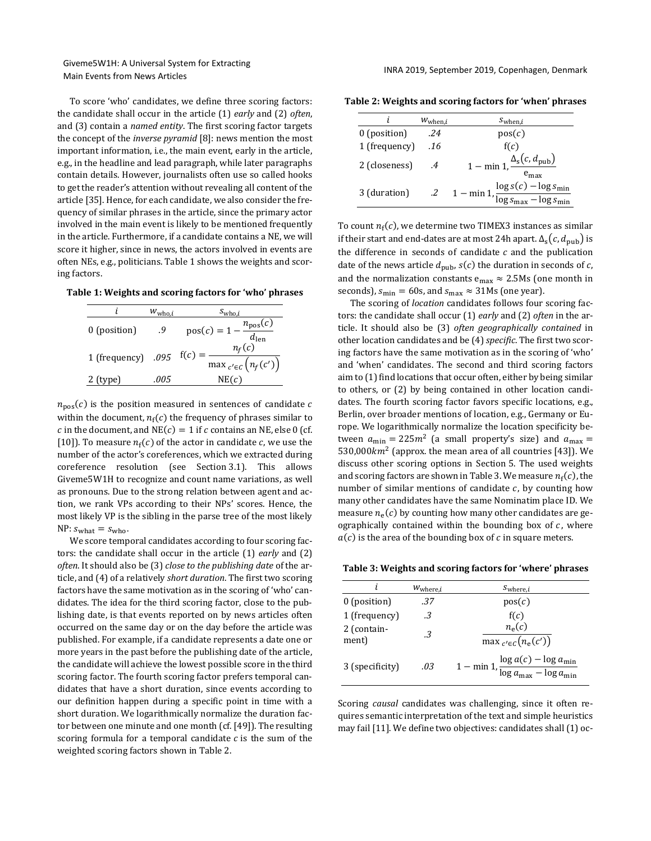Giveme5W1H: A Universal System for Extracting Main Events *Main Events Christian System In*ternational Events from News Articles Inc. 2019, September 2019, Copenhagen, Denmark<br>Main Events from News Articles

To score 'who' candidates, we define three scoring factors: the candidate shall occur in the article (1) *early* and (2) *often*, and (3) contain a *named entity*. The first scoring factor targets the concept of the *inverse pyramid* [8]: news mention the most important information, i.e., the main event, early in the article, e.g., in the headline and lead paragraph, while later paragraphs contain details. However, journalists often use so called hooks to get the reader's attention without revealing all content of the article [35]. Hence, for each candidate, we also consider the frequency of similar phrases in the article, since the primary actor involved in the main event is likely to be mentioned frequently in the article. Furthermore, if a candidate contains a NE, we will score it higher, since in news, the actors involved in events are often NEs, e.g., politicians. [Table 1](#page-4-0) shows the weights and scoring factors.

<span id="page-4-0"></span>**Table 1: Weights and scoring factors for 'who' phrases**

|                               | $W_{\text{who},i}$ | $S_{\text{who},i}$                                                        |
|-------------------------------|--------------------|---------------------------------------------------------------------------|
| $0$ (position)                | .9                 | $\overline{\text{pos}(c) = 1 - \frac{n_{\text{pos}}(c)}{d_{\text{len}}}}$ |
| 1 (frequency) .095 $f(c) = -$ |                    | $n_f(c)$<br>$\overline{\max_{c' \in C}}\left(n_f(c')\right)$              |
| 2 (type)                      | .005               | NE(c)                                                                     |

 $n_{\text{pos}}(c)$  is the position measured in sentences of candidate c within the document,  $n_f(c)$  the frequency of phrases similar to c in the document, and  $NE(c) = 1$  if c contains an NE, else 0 (cf. [10]). To measure  $n_f(c)$  of the actor in candidate c, we use the number of the actor's coreferences, which we extracted during coreference resolution (see Section [3.1\)](#page-2-0). This allows Giveme5W1H to recognize and count name variations, as well as pronouns. Due to the strong relation between agent and action, we rank VPs according to their NPs' scores. Hence, the most likely VP is the sibling in the parse tree of the most likely NP:  $s_{\text{what}} = s_{\text{who}}$ .

We score temporal candidates according to four scoring factors: the candidate shall occur in the article (1) *early* and (2) *often*. It should also be (3) *close to the publishing date* of the article, and (4) of a relatively *short duration*. The first two scoring factors have the same motivation as in the scoring of 'who' candidates. The idea for the third scoring factor, close to the publishing date, is that events reported on by news articles often occurred on the same day or on the day before the article was published. For example, if a candidate represents a date one or more years in the past before the publishing date of the article, the candidate will achieve the lowest possible score in the third scoring factor. The fourth scoring factor prefers temporal candidates that have a short duration, since events according to our definition happen during a specific point in time with a short duration. We logarithmically normalize the duration factor between one minute and one month (cf. [49]). The resulting scoring formula for a temporal candidate  $c$  is the sum of the weighted scoring factors shown i[n Table 2.](#page-4-1)

<span id="page-4-1"></span>**Table 2: Weights and scoring factors for 'when' phrases**

|               | $W_{\text{when},i}$ | $S_{\text{when},i}$                                                          |
|---------------|---------------------|------------------------------------------------------------------------------|
| 0 (position)  | .24                 | pos(c)                                                                       |
| 1 (frequency) | .16                 | f(c)                                                                         |
| 2 (closeness) | .4                  | 1 – min 1, $\frac{\Delta_s(c, d_{pub})}{e_{max}}$                            |
| 3 (duration)  |                     | 1 – min 1, $\frac{\log s(c) - \log s_{\min}}{\log s_{\max} - \log s_{\min}}$ |
|               |                     |                                                                              |

To count  $n_f(c)$ , we determine two TIMEX3 instances as similar if their start and end-dates are at most 24h apart.  $\Delta_{\rm s}(c, d_{\rm pub})$  is the difference in seconds of candidate  $c$  and the publication date of the news article  $d_{\text{pub}}$ ,  $s(c)$  the duration in seconds of c, and the normalization constants  $e_{max} \approx 2.5$ Ms (one month in seconds),  $s_{\text{min}} = 60$ s, and  $s_{\text{max}} \approx 31$ Ms (one year).

The scoring of *location* candidates follows four scoring factors: the candidate shall occur (1) *early* and (2) *often* in the article. It should also be (3) *often geographically contained* in other location candidates and be (4) *specific*. The first two scoring factors have the same motivation as in the scoring of 'who' and 'when' candidates. The second and third scoring factors aim to (1) find locations that occur often, either by being similar to others, or (2) by being contained in other location candidates. The fourth scoring factor favors specific locations, e.g., Berlin, over broader mentions of location, e.g., Germany or Europe. We logarithmically normalize the location specificity between  $a_{\min} = 225m^2$  (a small property's size) and  $a_{\max} =$ 530,000 $km^2$  (approx. the mean area of all countries [43]). We discuss other scoring options in Section [5.](#page-6-0) The used weights and scoring factors are shown in [Table 3.](#page-4-2) We measure  $n_{\rm f}(c)$ , the number of similar mentions of candidate  $c$ , by counting how many other candidates have the same Nominatim place ID. We measure  $n_{\rm e}(c)$  by counting how many other candidates are geographically contained within the bounding box of  $c$ , where  $a(c)$  is the area of the bounding box of  $c$  in square meters.

<span id="page-4-2"></span>**Table 3: Weights and scoring factors for 'where' phrases**

|                      | $W_{\text{where},i}$ | $S_{where, i}$                                                                  |
|----------------------|----------------------|---------------------------------------------------------------------------------|
| 0 (position)         | .37                  | pos(c)                                                                          |
| 1 (frequency)        | .3                   | f(c)                                                                            |
| 2 (contain-<br>ment) | .3                   | $n_e(c)$<br>max $_{c' \in C}(n_e(c'))$                                          |
| 3 (specificity)      | .03                  | $1 - \min_{}1, \frac{\log a(c) - \log a_{\min}}{\log a_{\max} - \log a_{\min}}$ |

Scoring *causal* candidates was challenging, since it often requires semantic interpretation of the text and simple heuristics may fail [11]. We define two objectives: candidates shall (1) oc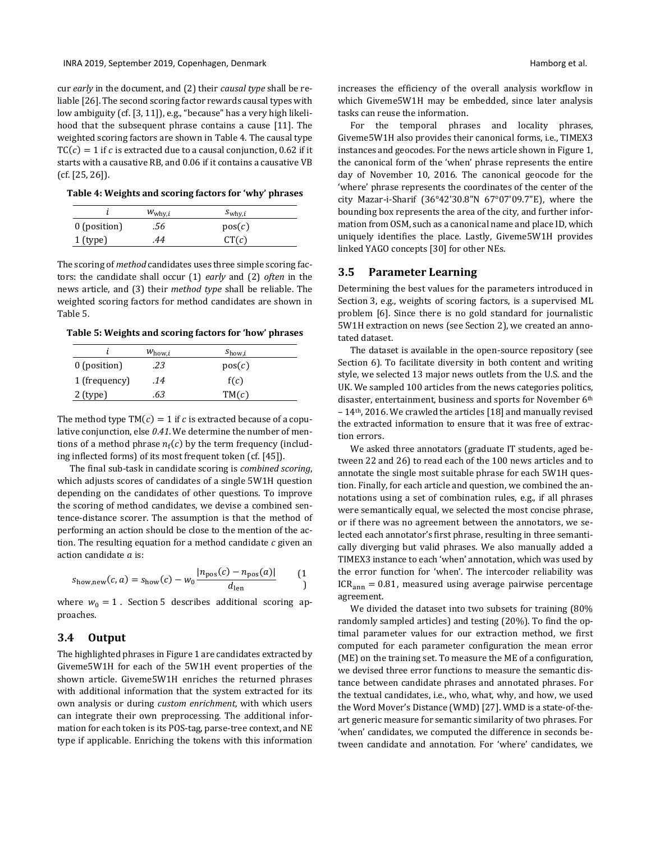cur *early* in the document, and (2) their *causal type* shall be reliable [26]. The second scoring factor rewards causal types with low ambiguity (cf. [3, 11]), e.g., "because" has a very high likelihood that the subsequent phrase contains a cause [11]. The weighted scoring factors are shown i[n Table 4.](#page-5-1) The causal type  $TC(c) = 1$  if c is extracted due to a causal conjunction, 0.62 if it starts with a causative RB, and 0.06 if it contains a causative VB (cf. [25, 26]).

<span id="page-5-1"></span>**Table 4: Weights and scoring factors for 'why' phrases**

|              | $W_{\text{whv},i}$ | $S_{\text{why},i}$ |  |
|--------------|--------------------|--------------------|--|
| 0 (position) | .56                | pos(c)             |  |
| $1$ (type)   | 44                 | CT(c)              |  |

The scoring of *method* candidates uses three simple scoring factors: the candidate shall occur (1) *early* and (2) *often* in the news article, and (3) their *method type* shall be reliable. The weighted scoring factors for method candidates are shown in [Table 5.](#page-5-2)

<span id="page-5-2"></span>**Table 5: Weights and scoring factors for 'how' phrases**

|               | $W_{\text{how},i}$ | $S_{\text{how},i}$ |
|---------------|--------------------|--------------------|
| 0 (position)  | .23                | pos(c)             |
| 1 (frequency) | .14                | f(c)               |
| 2 (type)      | .63                | TM(c)              |

The method type  $TM(c) = 1$  if c is extracted because of a copulative conjunction, else *0*.*41*. We determine the number of mentions of a method phrase  $n_f(c)$  by the term frequency (including inflected forms) of its most frequent token (cf. [45]).

The final sub-task in candidate scoring is *combined scoring*, which adjusts scores of candidates of a single 5W1H question depending on the candidates of other questions. To improve the scoring of method candidates, we devise a combined sentence-distance scorer. The assumption is that the method of performing an action should be close to the mention of the action. The resulting equation for a method candidate  $c$  given an action candidate  $a$  is:

$$
s_{\text{how,new}}(c, a) = s_{\text{how}}(c) - w_0 \frac{|n_{\text{pos}}(c) - n_{\text{pos}}(a)|}{d_{\text{len}}} \tag{1}
$$

where  $w_0 = 1$ . Section [5](#page-6-0) describes additional scoring approaches.

# **3.4 Output**

The highlighted phrases in [Figure](#page-1-0) 1 are candidates extracted by Giveme5W1H for each of the 5W1H event properties of the shown article. Giveme5W1H enriches the returned phrases with additional information that the system extracted for its own analysis or during *custom enrichment*, with which users can integrate their own preprocessing. The additional information for each token is its POS-tag, parse-tree context, and NE type if applicable. Enriching the tokens with this information increases the efficiency of the overall analysis workflow in which Giveme5W1H may be embedded, since later analysis tasks can reuse the information.

For the temporal phrases and locality phrases, Giveme5W1H also provides their canonical forms, i.e., TIMEX3 instances and geocodes. For the news article shown in [Figure](#page-1-0) 1, the canonical form of the 'when' phrase represents the entire day of November 10, 2016. The canonical geocode for the 'where' phrase represents the coordinates of the center of the city Mazar-i-Sharif (36°42'30.8"N 67°07'09.7"E), where the bounding box represents the area of the city, and further information from OSM, such as a canonical name and place ID, which uniquely identifies the place. Lastly, Giveme5W1H provides linked YAGO concepts [30] for other NEs.

# <span id="page-5-0"></span>**3.5 Parameter Learning**

Determining the best values for the parameters introduced in Section [3,](#page-2-1) e.g., weights of scoring factors, is a supervised ML problem [6]. Since there is no gold standard for journalistic 5W1H extraction on news (see Section [2\)](#page-1-1), we created an annotated dataset.

The dataset is available in the open-source repository (see Section [6\)](#page-7-0). To facilitate diversity in both content and writing style, we selected 13 major news outlets from the U.S. and the UK. We sampled 100 articles from the news categories politics, disaster, entertainment, business and sports for November 6th – 14th, 2016. We crawled the articles [18] and manually revised the extracted information to ensure that it was free of extraction errors.

We asked three annotators (graduate IT students, aged between 22 and 26) to read each of the 100 news articles and to annotate the single most suitable phrase for each 5W1H question. Finally, for each article and question, we combined the annotations using a set of combination rules, e.g., if all phrases were semantically equal, we selected the most concise phrase, or if there was no agreement between the annotators, we selected each annotator's first phrase, resulting in three semantically diverging but valid phrases. We also manually added a TIMEX3 instance to each 'when' annotation, which was used by the error function for 'when'. The intercoder reliability was  $ICR<sub>ann</sub> = 0.81$ , measured using average pairwise percentage agreement.

We divided the dataset into two subsets for training (80% randomly sampled articles) and testing (20%). To find the optimal parameter values for our extraction method, we first computed for each parameter configuration the mean error (ME) on the training set. To measure the ME of a configuration, we devised three error functions to measure the semantic distance between candidate phrases and annotated phrases. For the textual candidates, i.e., who, what, why, and how, we used the Word Mover's Distance (WMD) [27]. WMD is a state-of-theart generic measure for semantic similarity of two phrases. For 'when' candidates, we computed the difference in seconds between candidate and annotation. For 'where' candidates, we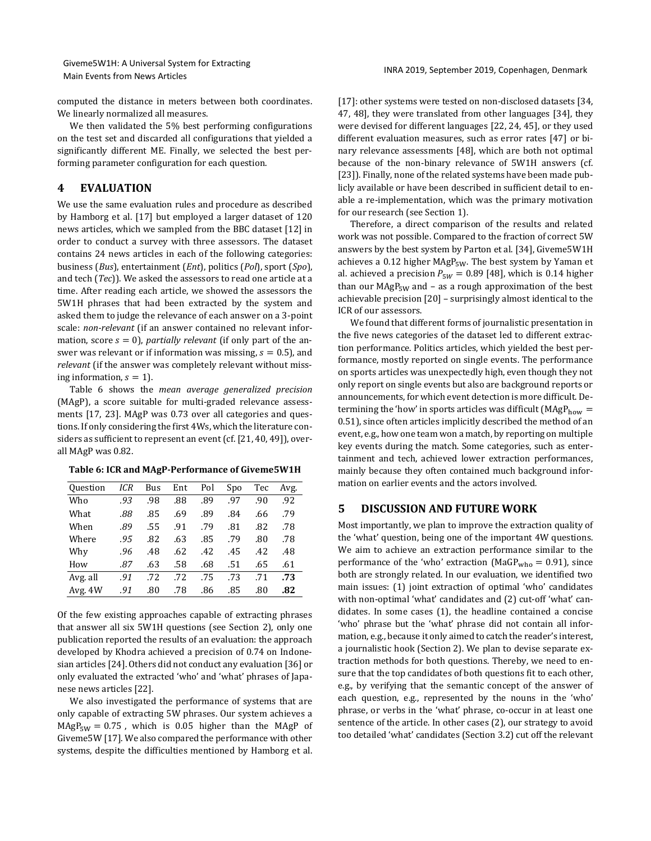Giveme5W1H: A Universal System for Extracting Main Events *Main Events Christian System for Extracting*<br>Main Events from News Articles **International Christian Contract Christian** INRA 2019, September 2019, Copenhagen, Denmark

computed the distance in meters between both coordinates. We linearly normalized all measures.

We then validated the 5% best performing configurations on the test set and discarded all configurations that yielded a significantly different ME. Finally, we selected the best performing parameter configuration for each question.

# **4 EVALUATION**

We use the same evaluation rules and procedure as described by Hamborg et al. [17] but employed a larger dataset of 120 news articles, which we sampled from the BBC dataset [12] in order to conduct a survey with three assessors. The dataset contains 24 news articles in each of the following categories: business (*Bus*), entertainment (*Ent*), politics (*Pol*), sport (*Spo*), and tech (*Tec*)). We asked the assessors to read one article at a time. After reading each article, we showed the assessors the 5W1H phrases that had been extracted by the system and asked them to judge the relevance of each answer on a 3-point scale: *non-relevant* (if an answer contained no relevant information, score  $s = 0$ ), *partially relevant* (if only part of the answer was relevant or if information was missing,  $s = 0.5$ ), and *relevant* (if the answer was completely relevant without missing information,  $s = 1$ ).

[Table 6](#page-6-1) shows the *mean average generalized precision* (MAgP), a score suitable for multi-graded relevance assessments [17, 23]. MAgP was 0.73 over all categories and questions. If only considering the first 4Ws, which the literature considers as sufficient to represent an event (cf. [21, 40, 49]), overall MAgP was 0.82.

<span id="page-6-1"></span>

| Table 6: ICR and MAgP-Performance of Giveme5W1H |  |
|-------------------------------------------------|--|
|-------------------------------------------------|--|

| Ouestion | ICR | Bus | Ent | Pol | Spo | Tec | Avg. |
|----------|-----|-----|-----|-----|-----|-----|------|
| Who      | .93 | .98 | .88 | .89 | .97 | .90 | .92  |
| What     | .88 | .85 | .69 | .89 | .84 | .66 | .79  |
| When     | .89 | .55 | .91 | .79 | .81 | .82 | .78  |
| Where    | .95 | .82 | .63 | .85 | .79 | .80 | .78  |
| Why      | .96 | .48 | .62 | .42 | .45 | .42 | .48  |
| How      | .87 | .63 | .58 | .68 | .51 | .65 | .61  |
| Avg. all | .91 | .72 | .72 | .75 | .73 | .71 | .73  |
| Avg. 4W  | .91 | .80 | .78 | .86 | .85 | .80 | .82  |

Of the few existing approaches capable of extracting phrases that answer all six 5W1H questions (see Section [2\)](#page-1-1), only one publication reported the results of an evaluation: the approach developed by Khodra achieved a precision of 0.74 on Indonesian articles [24]. Others did not conduct any evaluation [36] or only evaluated the extracted 'who' and 'what' phrases of Japanese news articles [22].

We also investigated the performance of systems that are only capable of extracting 5W phrases. Our system achieves a  $MAgP_{5W} = 0.75$ , which is 0.05 higher than the MAgP of Giveme5W [17]. We also compared the performance with other systems, despite the difficulties mentioned by Hamborg et al.

[17]: other systems were tested on non-disclosed datasets [34, 47, 48], they were translated from other languages [34], they were devised for different languages [22, 24, 45], or they used different evaluation measures, such as error rates [47] or binary relevance assessments [48], which are both not optimal because of the non-binary relevance of 5W1H answers (cf. [23]). Finally, none of the related systems have been made publicly available or have been described in sufficient detail to enable a re-implementation, which was the primary motivation for our research (see Section 1).

Therefore, a direct comparison of the results and related work was not possible. Compared to the fraction of correct 5W answers by the best system by Parton et al. [34], Giveme5W1H achieves a 0.12 higher  $MAgP<sub>5W</sub>$ . The best system by Yaman et al. achieved a precision  $P_{5W} = 0.89$  [48], which is 0.14 higher than our  $MAgP<sub>5W</sub>$  and – as a rough approximation of the best achievable precision [20] – surprisingly almost identical to the ICR of our assessors.

We found that different forms of journalistic presentation in the five news categories of the dataset led to different extraction performance. Politics articles, which yielded the best performance, mostly reported on single events. The performance on sports articles was unexpectedly high, even though they not only report on single events but also are background reports or announcements, for which event detection is more difficult. Determining the 'how' in sports articles was difficult ( $MAgP<sub>how</sub>$  = 0.51), since often articles implicitly described the method of an event, e.g., how one team won a match, by reporting on multiple key events during the match. Some categories, such as entertainment and tech, achieved lower extraction performances, mainly because they often contained much background information on earlier events and the actors involved.

# <span id="page-6-0"></span>**5 DISCUSSION AND FUTURE WORK**

Most importantly, we plan to improve the extraction quality of the 'what' question, being one of the important 4W questions. We aim to achieve an extraction performance similar to the performance of the 'who' extraction (MaGP<sub>who</sub> = 0.91), since both are strongly related. In our evaluation, we identified two main issues: (1) joint extraction of optimal 'who' candidates with non-optimal 'what' candidates and (2) cut-off 'what' candidates. In some cases (1), the headline contained a concise 'who' phrase but the 'what' phrase did not contain all information, e.g., because it only aimed to catch the reader's interest, a journalistic hook (Section [2\)](#page-1-1). We plan to devise separate extraction methods for both questions. Thereby, we need to ensure that the top candidates of both questions fit to each other, e.g., by verifying that the semantic concept of the answer of each question, e.g., represented by the nouns in the 'who' phrase, or verbs in the 'what' phrase, co-occur in at least one sentence of the article. In other cases (2), our strategy to avoid too detailed 'what' candidates (Section [3.2\)](#page-3-0) cut off the relevant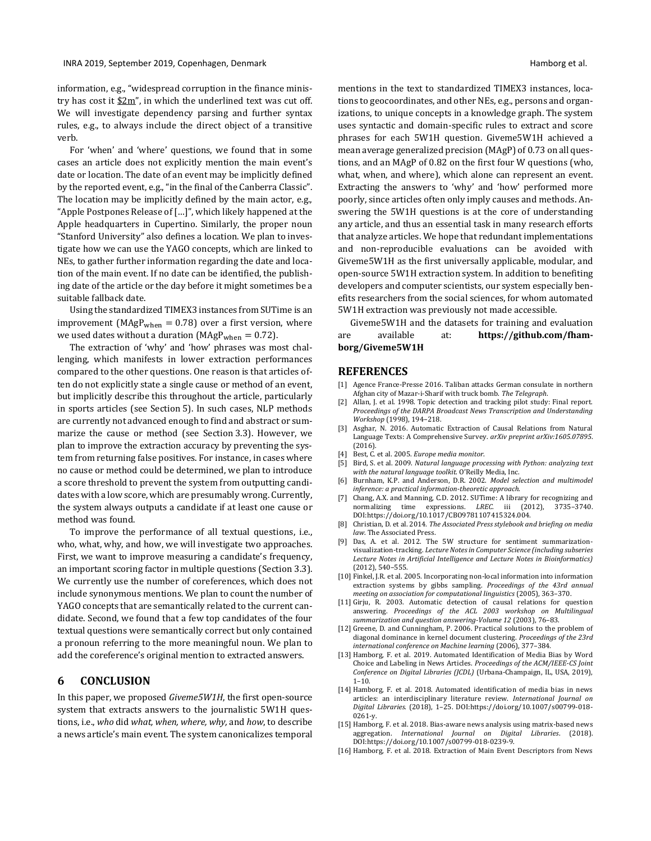information, e.g., "widespread corruption in the finance ministry has cost it \$2m", in which the underlined text was cut off. We will investigate dependency parsing and further syntax rules, e.g., to always include the direct object of a transitive verb.

For 'when' and 'where' questions, we found that in some cases an article does not explicitly mention the main event's date or location. The date of an event may be implicitly defined by the reported event, e.g., "in the final of the Canberra Classic". The location may be implicitly defined by the main actor, e.g., "Apple Postpones Release of […]", which likely happened at the Apple headquarters in Cupertino. Similarly, the proper noun "Stanford University" also defines a location. We plan to investigate how we can use the YAGO concepts, which are linked to NEs, to gather further information regarding the date and location of the main event. If no date can be identified, the publishing date of the article or the day before it might sometimes be a suitable fallback date.

Using the standardized TIMEX3 instances from SUTime is an improvement ( $MAgP_{when} = 0.78$ ) over a first version, where we used dates without a duration ( $MAgP<sub>when</sub> = 0.72$ ).

The extraction of 'why' and 'how' phrases was most challenging, which manifests in lower extraction performances compared to the other questions. One reason is that articles often do not explicitly state a single cause or method of an event, but implicitly describe this throughout the article, particularly in sports articles (see Section [5\)](#page-6-0). In such cases, NLP methods are currently not advanced enough to find and abstract or summarize the cause or method (see Section [3.3\)](#page-3-1). However, we plan to improve the extraction accuracy by preventing the system from returning false positives. For instance, in cases where no cause or method could be determined, we plan to introduce a score threshold to prevent the system from outputting candidates with a low score, which are presumably wrong. Currently, the system always outputs a candidate if at least one cause or method was found.

To improve the performance of all textual questions, i.e., who, what, why, and how, we will investigate two approaches. First, we want to improve measuring a candidate's frequency, an important scoring factor in multiple questions (Section [3.3\)](#page-3-1). We currently use the number of coreferences, which does not include synonymous mentions. We plan to count the number of YAGO concepts that are semantically related to the current candidate. Second, we found that a few top candidates of the four textual questions were semantically correct but only contained a pronoun referring to the more meaningful noun. We plan to add the coreference's original mention to extracted answers.

# <span id="page-7-0"></span>**6 CONCLUSION**

In this paper, we proposed *Giveme5W1H*, the first open-source system that extracts answers to the journalistic 5W1H questions, i.e., *who* did *what, when, where, why,* and *how*, to describe a news article's main event. The system canonicalizes temporal

mentions in the text to standardized TIMEX3 instances, locations to geocoordinates, and other NEs, e.g., persons and organizations, to unique concepts in a knowledge graph. The system uses syntactic and domain-specific rules to extract and score phrases for each 5W1H question. Giveme5W1H achieved a mean average generalized precision (MAgP) of 0.73 on all questions, and an MAgP of 0.82 on the first four W questions (who, what, when, and where), which alone can represent an event. Extracting the answers to 'why' and 'how' performed more poorly, since articles often only imply causes and methods. Answering the 5W1H questions is at the core of understanding any article, and thus an essential task in many research efforts that analyze articles. We hope that redundant implementations and non-reproducible evaluations can be avoided with Giveme5W1H as the first universally applicable, modular, and open-source 5W1H extraction system. In addition to benefiting developers and computer scientists, our system especially benefits researchers from the social sciences, for whom automated 5W1H extraction was previously not made accessible.

Giveme5W1H and the datasets for training and evaluation are available at: **[https://github.com/fham](https://github.com/fhamborg/Giveme5W1H)[borg/Giveme5W1H](https://github.com/fhamborg/Giveme5W1H)**

#### **REFERENCES**

- [1] Agence France-Presse 2016. Taliban attacks German consulate in northern Afghan city of Mazar-i-Sharif with truck bomb. *The Telegraph*.
- [2] Allan, J. et al. 1998. Topic detection and tracking pilot study: Final report. *Proceedings of the DARPA Broadcast News Transcription and Understanding Workshop* (1998), 194–218.
- [3] Asghar, N. 2016. Automatic Extraction of Causal Relations from Natural Language Texts: A Comprehensive Survey. *arXiv preprint arXiv:1605.07895*. (2016).
- [4] Best, C. et al. 2005. *Europe media monitor*.
- [5] Bird, S. et al. 2009. *Natural language processing with Python: analyzing text with the natural language toolkit*. O'Reilly Media, Inc.
- [6] Burnham, K.P. and Anderson, D.R. 2002. *Model selection and multimodel inference: a practical information-theoretic approach*.
- [7] Chang, A.X. and Manning, C.D. 2012. SUTime: A library for recognizing and normalizing time expressions. *LREC.* iii (2012). 3735-3740. normalizing time expressions. *LREC*. iii (2012), DOI:https://doi.org/10.1017/CBO9781107415324.004.
- [8] Christian, D. et al. 2014. *The Associated Press stylebook and briefing on media law*. The Associated Press.
- [9] Das, A. et al. 2012. The 5W structure for sentiment summarizationvisualization-tracking. *Lecture Notes in Computer Science (including subseries Lecture Notes in Artificial Intelligence and Lecture Notes in Bioinformatics)* (2012), 540–555.
- [10] Finkel, J.R. et al. 2005. Incorporating non-local information into information extraction systems by gibbs sampling. *Proceedings of the 43rd annual meeting on association for computational linguistics* (2005), 363–370.
- [11] Girju, R. 2003. Automatic detection of causal relations for question answering. *Proceedings of the ACL 2003 workshop on Multilingual summarization and question answering-Volume 12* (2003), 76–83.
- [12] Greene, D. and Cunningham, P. 2006. Practical solutions to the problem of diagonal dominance in kernel document clustering. *Proceedings of the 23rd international conference on Machine learning* (2006), 377–384.
- [13] Hamborg, F. et al. 2019. Automated Identification of Media Bias by Word Choice and Labeling in News Articles. *Proceedings of the ACM/IEEE-CS Joint Conference on Digital Libraries (JCDL)* (Urbana-Champaign, IL, USA, 2019),  $1 - 10$ .
- [14] Hamborg, F. et al. 2018. Automated identification of media bias in news articles: an interdisciplinary literature review. *International Journal on Digital Libraries*. (2018), 1–25. DOI:https://doi.org/10.1007/s00799-018- 0261-y.
- [15] Hamborg, F. et al. 2018. Bias-aware news analysis using matrix-based news aggregation. *International Journal on Digital Libraries*. (2018). DOI:https://doi.org/10.1007/s00799-018-0239-9.
- [16] Hamborg, F. et al. 2018. Extraction of Main Event Descriptors from News